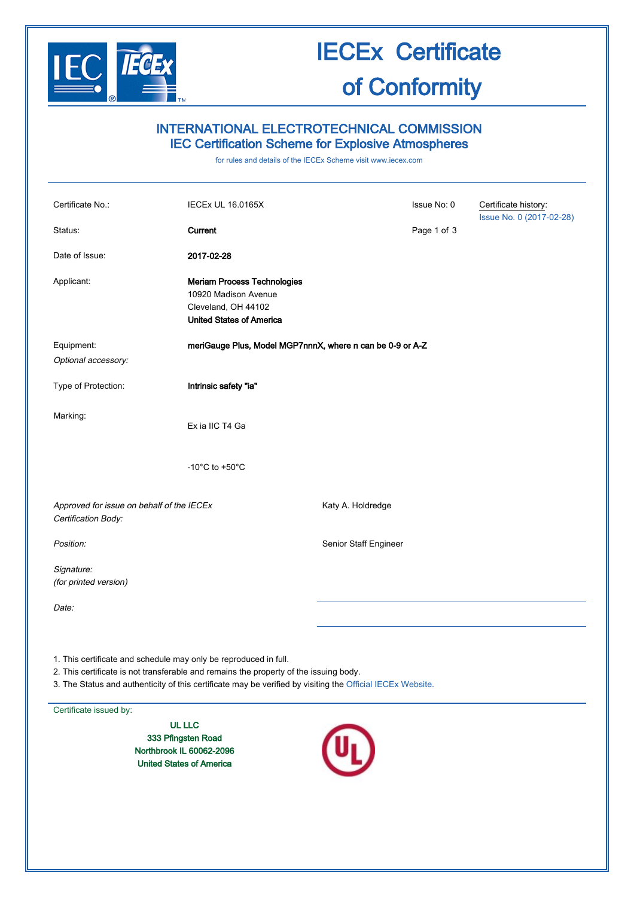

# IECEx Certificate

### of Conformity

### INTERNATIONAL ELECTROTECHNICAL COMMISSION IEC Certification Scheme for Explosive Atmospheres

for rules and details of the IECEx Scheme visit [www.iecex.com](http://www.iecex.com/)

| Certificate No.:                                                                                                                                          | <b>IECEX UL 16.0165X</b>                                                                                             |                       | Issue No: 0 | Certificate history:<br>Issue No. 0 (2017-02-28) |
|-----------------------------------------------------------------------------------------------------------------------------------------------------------|----------------------------------------------------------------------------------------------------------------------|-----------------------|-------------|--------------------------------------------------|
| Status:                                                                                                                                                   | Current                                                                                                              |                       | Page 1 of 3 |                                                  |
| Date of Issue:                                                                                                                                            | 2017-02-28                                                                                                           |                       |             |                                                  |
| Applicant:                                                                                                                                                | <b>Meriam Process Technologies</b><br>10920 Madison Avenue<br>Cleveland, OH 44102<br><b>United States of America</b> |                       |             |                                                  |
| Equipment:<br>Optional accessory:                                                                                                                         | meriGauge Plus, Model MGP7nnnX, where n can be 0-9 or A-Z                                                            |                       |             |                                                  |
| Type of Protection:                                                                                                                                       | Intrinsic safety "ia"                                                                                                |                       |             |                                                  |
| Marking:                                                                                                                                                  | Ex ia IIC T4 Ga                                                                                                      |                       |             |                                                  |
|                                                                                                                                                           | -10 $^{\circ}$ C to +50 $^{\circ}$ C                                                                                 |                       |             |                                                  |
| Approved for issue on behalf of the IECEx<br>Certification Body:                                                                                          |                                                                                                                      | Katy A. Holdredge     |             |                                                  |
| Position:                                                                                                                                                 |                                                                                                                      | Senior Staff Engineer |             |                                                  |
| Signature:<br>(for printed version)                                                                                                                       |                                                                                                                      |                       |             |                                                  |
| Date:                                                                                                                                                     |                                                                                                                      |                       |             |                                                  |
| 1. This certificate and schedule may only be reproduced in full.<br>2. This certificate is not transferable and remains the property of the issuing body. |                                                                                                                      |                       |             |                                                  |

3. The Status and authenticity of this certificate may be verified by visiting the [Official IECEx Website.](http://iecex.iec.ch/)

### Certificate issued by:

UL LLC 333 Pfingsten Road Northbrook IL 60062-2096 United States of America

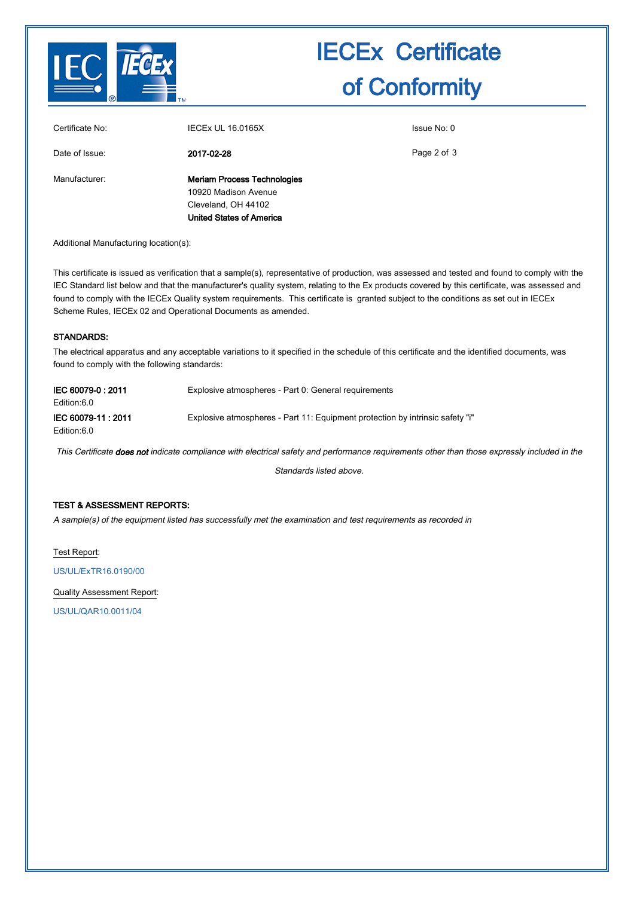

# IECEx Certificate of Conformity

| Certificate No: | <b>IECEX UL 16.0165X</b>                                                                                             | Issue No: 0 |
|-----------------|----------------------------------------------------------------------------------------------------------------------|-------------|
| Date of Issue:  | 2017-02-28                                                                                                           | Page 2 of 3 |
| Manufacturer:   | <b>Meriam Process Technologies</b><br>10920 Madison Avenue<br>Cleveland, OH 44102<br><b>United States of America</b> |             |

Additional Manufacturing location(s):

This certificate is issued as verification that a sample(s), representative of production, was assessed and tested and found to comply with the IEC Standard list below and that the manufacturer's quality system, relating to the Ex products covered by this certificate, was assessed and found to comply with the IECEx Quality system requirements. This certificate is granted subject to the conditions as set out in IECEx Scheme Rules, IECEx 02 and Operational Documents as amended.

#### STANDARDS:

The electrical apparatus and any acceptable variations to it specified in the schedule of this certificate and the identified documents, was found to comply with the following standards:

| IEC 60079-0: 2011<br>Edition:6.0 | Explosive atmospheres - Part 0: General requirements                          |
|----------------------------------|-------------------------------------------------------------------------------|
| IEC 60079-11:2011<br>Edition:6.0 | Explosive atmospheres - Part 11: Equipment protection by intrinsic safety "i" |

This Certificate does not indicate compliance with electrical safety and performance requirements other than those expressly included in the

Standards listed above.

#### TEST & ASSESSMENT REPORTS:

A sample(s) of the equipment listed has successfully met the examination and test requirements as recorded in

Test Report:

[US/UL/ExTR16.0190/00](http://iecex.iec.ch/iecex/IECExWeb.nsf/ExTRNumber/US/UL/ExTR16.0190/00?OpenDocument)

Quality Assessment Report:

[US/UL/QAR10.0011/04](http://iecex.iec.ch/iecex/IECExWeb.nsf/QARNumber/US/UL/QAR10.0011/04?OpenDocument)